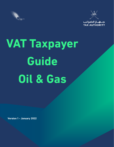



# **VAT Taxpayer Guide Oil & Gas**

 **Version 1 - January 2022**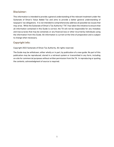# **Disclaimer:**

This information is intended to provide a general understanding of the relevant treatment under the Sultanate of Oman's Value Added Tax and aims to provide a better general understanding of taxpayers' tax obligations. It is not intended to comprehensively address all possible tax issues that may arise. While the Sultanate of Oman's Tax Authority ("TA") has taken the initiative to ensure that all information contained in this Guide is correct, the TA will not be responsible for any mistakes and inaccuracies that may be contained, or any financial loss or other incurred by individuals using the information from this Guide. All information is current at the time of preparation and is subject to change when necessary.

# **Copyright info:**

Copyright 2022 Sultanate of Oman Tax Authority. All rights reserved.

The Guide may be withdrawn, either wholly or in part, by publication of a new guide. No part of this publication may be reproduced, stored in a retrieval system or transmitted in any form, including on-site for commercial purposes without written permission from the TA. In reproducing or quoting the contents, acknowledgment of source is required.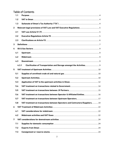# Table of Contents

|              | 1.1   |                                                                                |  |
|--------------|-------|--------------------------------------------------------------------------------|--|
|              | 1.2   |                                                                                |  |
|              | 1.3   |                                                                                |  |
| $\mathbf{2}$ |       |                                                                                |  |
|              | 2.1   |                                                                                |  |
|              | 2.2   |                                                                                |  |
|              | 2.3   |                                                                                |  |
| 3            |       |                                                                                |  |
| 4            |       |                                                                                |  |
|              | 4.1   |                                                                                |  |
|              | 4.2   |                                                                                |  |
|              | 4.3   |                                                                                |  |
|              | 4.3.1 | Clarification of Transportation and Storage amongst the Activities 9           |  |
| 5            |       |                                                                                |  |
|              | 5.1   |                                                                                |  |
|              | 5.2   |                                                                                |  |
|              | 5.3   |                                                                                |  |
|              | 5.4   |                                                                                |  |
|              | 5.5   |                                                                                |  |
|              | 5.6   | VAT treatment on transactions between Operator & Affiliated Entities 16        |  |
|              | 5.7   |                                                                                |  |
|              | 5.8   | VAT treatment on transactions between Operators and Contractors/Suppliers.  19 |  |
| 6            |       |                                                                                |  |
|              | 6.1   |                                                                                |  |
|              | 6.2   |                                                                                |  |
| 7            |       |                                                                                |  |
|              | 7.1   |                                                                                |  |
|              | 7.2   |                                                                                |  |
|              | 7.3   |                                                                                |  |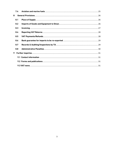|   | 7.4 |  |
|---|-----|--|
| 8 |     |  |
|   | 8.1 |  |
|   | 8.2 |  |
|   | 8.3 |  |
|   | 8.4 |  |
|   | 8.5 |  |
|   | 8.6 |  |
|   | 8.7 |  |
|   | 8.8 |  |
| 9 |     |  |
|   |     |  |
|   |     |  |
|   |     |  |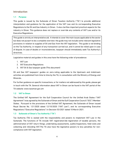## **Introduction**

## <span id="page-4-0"></span>**1.1 Purpose**

This guide is issued by the Sultanate of Oman Taxation Authority ("TA") to provide additional interpretation and guidance for the application of the VAT Law and its corresponding Executive Regulations to the Oil and Gas Industry in Oman. It also clarifies important practical aspects for the industry in Oman. This guidance does not replace or override any contents of VAT Law and/or its Executive Regulations.

This guide is strictly an interpretative aid. It intends to cover the main issues applicable to the sector but does not purport to be a complete overview: the guide may not include some relevant legislative provisions in relation to supplies of Oil and Gas from the VAT legislation. This guide is not binding on the Tax Authority, in respect of any transaction carried out, and it cannot be relied upon in case of dispute. In case of doubts or inconsistencies, taxpayer should immediately seek Tax Authority's directives.

Legislative material and guides in this area have the following order of precedence:

- 1. VAT Law
- 2. VAT Executive Regulations
- 3. VAT Oil & Gas taxpayer guide (This document)

Oil and Gas VAT taxpayers' guides on zero-rating applicable to the Upstream and midstream activities are published from time to time by the TA, in consultation with the Ministry of Energy and Minerals.

For further guidance on specific transactions, or for matters not addressed by this guide, please get in touch with the TA. General information about VAT in Oman can be found in the VAT portal of the TA website[: www.taxoman.gov.om](http://www.taxoman.gov.om/) 

## <span id="page-4-1"></span>**1.2 VAT in Oman**

The Unified VAT Agreement for the Gulf Cooperation Council for the Unified Arab States ("VAT Agreement") was agreed by the Sultanate of Oman and the Gulf Cooperation Council ("GCC") Member States. Pursuant to the provisions of the Unified VAT Agreement, the Sultanate of Oman issued Royal Decree No. 121/2020 dated 12/10/2020 ("VAT Law"), and its corresponding Executive Regulations ("Executive Regulations") in Decision 53/2021 dated 10 March 2021.

#### <span id="page-4-2"></span>**1.3 Sultanate of Oman's Tax Authority ("TA")**

Tax Authority (TA) is vested with the responsibility and powers to implement VAT Law in the Sultanate. The functions of TA include VAT registration/de-registration of taxable persons, the administration of VAT return filings, undertaking assessments, audits/inspections, field visits and collecting and refunding VAT.The TA also have the legislative powers to levy penalties for noncompliance with VAT legislation.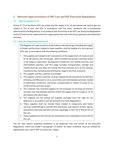# <span id="page-5-0"></span>**2 Relevant legal provisions of VAT Law and VAT Executive Regulations**

## <span id="page-5-1"></span>**2.1 VAT Law Article 51 (7)**

Article 51 (7) of the Oman VAT Law states that the supply of oil, oil derivatives and natural gas are subject to Tax at zero rate (0%) in accordance with the limits, conditions and circumstances determined by the Regulations. In accordance with this Article of the VAT Law, Executive Regulations Article 93 sets out the requirements for applying the zero rate to Oil & Gas upstream and midstream activities.

## <span id="page-5-2"></span>**2.2 Executive Regulations Article 93**

The Supplies of crude oil and its oil derivatives and natural gas including the supply of Goods and Services related to these supplies, shall be taxable at a zero percent (0%) rate, in accordance with the following conditions:

- 1- The supplies are related to the transactions of the supply chain of crude oil and its oil derivatives and natural gas, which includes the primary activities which is the stage of exploration, development, production and related services, and intermediate activities, and this stage includes transportation, storage and related services, and does not include the final activities such as the refining, manufacturing, marketing and distribution stage to the final consumer.
- 2- The supplier and the customer are taxable.
- 3- The supplier and the customer must be registered and licensed by the Ministry of Energy and Minerals to carry out primary and intermediate activities related to exploration, production, extraction, transportation or import of crude oil, its oil derivatives and natural gas.
- 4- The customer has received supplies for the purposes of carrying out primary activities and intermediate activities within the supply chain of crude oil, its oil derivatives and natural gas.
- 5- The supplies are not among the supplies excluded from the right for tax deduction in accordance with the provisions of these Regulations.
- 6- These supplies shall not include those related to restaurants and hotels services, undertakings to provide food and drinks, and cultural, artistic, sports, educational and entertainment services stipulated in Item (5) of Article (24) of the Law.
- 7- These supplies are not from the tax-exempt services stipulated in Article (47) of the Law.

The TA view several essential conditions to be observed from this Article of the Executive Regulations, which are stated in paragraph 2.3 below. All these conditions must be fulfilled for applying the zero-rate of VAT to a particular supply.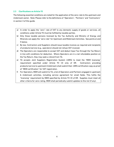#### <span id="page-6-0"></span>**2.3 Clarifications on Article 93**

The following essential conditions are noted for the application of the zero-rate to the upstream and midstream sector. Note: Please refer to the definitions of "Operators", "Partners" and "Contractors" in section 3 of this guide.

- a) In order to apply the "zero" rate of VAT to any domestic supply of goods or services, all conditions under Article 93 must be fulfilled by taxable parties.
- b) Only those taxable persons licensed by the Tax Authority and Ministry of Energy and Minerals can apply the "zero-rate" for Upstream and Midstream Activities. See points e) and f) below.
- c) By law, Contractors and Suppliers should issue taxable invoices as required and recipients of products/service (e.g., operators) should not refuse VAT invoiced.
- d) The Operators are responsible to accept VAT and deduct Input Tax through the Tax Return in line with conditions for deduction. Where Operators are in a net refundable position on the Tax Return, they may seek a refund from TA.
- e) TA accepts Joint Suppliers Registration System (JSRS) to meet the "MEM licensing" requirement specified under Article 93 (3) only of ER. Contractors providing products/service to upstream/midstream shall submit their JSRS certification copy as proof of "MEM certification" for VAT registration.
- f) For Operators, MEM will submit to TA, a list of Operators and Partners engaged in upstream & midstream activities, including service agreement for small fields. This fulfils the "licensing" requirement by MEM specified by Article 93 (3) of ER. Supplies must meet all other criteria for zero-rating. MEM shall periodically submit updates to this list (if any).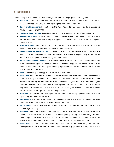# <span id="page-7-0"></span>**3 Definitions**

The following terms shall have the meanings specified for the purposes of this guide:

- **VAT Law:** The Value Added Tax Law of the Sultanate of Oman issued by Royal Decree No. 121/2020 dated 12/10/2020 Promulgating the Value Added Tax Law.
- **Executive Regulations:** Regulations to the Value Added Tax Law issued by Royal Decree No. 53/2021 dated 10/03/2021.
- **Standard Rated Supply:** Taxable supply of goods or services with VAT applied at 5%.
- **EXEX** Zero-Rated Supply: Taxable supply of goods or services with VAT applied at the rate of 0%, as specified in VAT Law. For example, supplies of oil and oil derivatives, or exports of goods outside Oman.
- **Exempt Supply:** Supply of goods or services which are specified by the VAT Law to be exempt. For example, interest earned on a financial product.
- **Transactions not subject to VAT:** Transactions which do not involve a supply of goods or services for VAT purposes (such as compensation), or which are specifically excluded from VAT (such as supplies between VAT group members).
- **Reverse Charge Mechanism :** A mechanism where the VAT reporting obligation is shifted from the seller/supplier to the buyer, because the seller/supplier has no workplace or fixed establishment in Oman. The buyer notionally reports Output Tax and offsets deductible Input Tax in the same VAT return.
- **MEM:** The Ministry of Energy and Minerals in the Sultanate.
- **Operators:** For Upstream activities: the parties assigned as "Operator" under the respective Joint Operating Agreement, for a Block or Concession for which an Exploration and Production Sharing Agreements (EPSA) or Concession Agreements (CA) has been signed with the Government of Oman. For Service Agreements (SA) for a part of the Block under any EPSA or CA signed with Operator, the Contractor assigned as such to operate the SA will be considered as an "Operator" for the respective SA.
- **Partners:** The parties that have signed an EPSA or CA, including Operators and other non-Operating Joint Venture Partners.
- **Contractors:** The suppliers of materials and services to the Operators for the upstream and midstream activities referred to as Contractor/Supplier
- **Government:** The Sultanate of Oman, and any ministry or agency in the Sultanate acting in a sovereign capacity.
- **Upstream:** Activities related to searching for potential hydrocarbons, including Geophysical activities, drilling exploratory wells, and subsequently drilling and operating the wells (including injector wells) that recover and extraction of crude oil or raw natural gas to the surface and abandonment of wells and facilities. See 5.1 for detailed activities.
- **Cash call:** A cash request made by Operators to non-Operating JV Partners (incorporated/unincorporated) to honour the contractual payments made by the Operator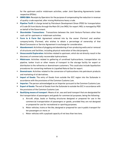for the upstream and/or midstream activities, under Joint Operating Agreements (under respective EPSAs).

- **OBRD/QBA:** Receipts by Operators for the purpose of compensating the reduction in revenue of quality crude exported, after mixing Mukhaizna heavy crude.
- **Pipeline Tariff:** A charge levied by Petroleum Development Oman (PDO) for transportation of Crude Oil from blocks through the Main Oil Line (MOL) for export. MOL is managed by PDO on behalf of the Government.
- **Shareholder Transactions:** Transactions between the Joint Venture Partners other than cash call for upstream or midstream activities.
- **Farm In & Farm Out:** Agreement entered into by the owner (Farmor) and another company/entity (Farmee), who wishes to obtain a percentage of ownership of that Block/Concession or Service Agreement in exchange for consideration.
- **Abandonment:** Activities of plugging and abandoning of non-producing wells and or removal of structures and facilities, including physical restoration of the site/property.
- **Unsuccessful Exploration:** Activities related to upstream, which do not directly result in the discovery of commercially recoverable hydrocarbons.
- **Midstream:** Activities related to gathering of unrefined hydrocarbons, transportation via pipeline, tanker truck or other means of transport to the storage facility for export or distribution to the refineries or downstream customers. This could also include liquefaction procedures for converting methane to Liquefied Natural Gas for export.
- **Downstream:** Activities related to the conversion of hydrocarbons into petroleum products and marketing of oil derivatives.
- **Import of Goods:** The entry of Goods from outside the GCC region into the Sultanate in accordance with the provisions of the Common Customs Law.
- **Importer:** The person acknowledged as an Importer pursuant to the Common Customs Law.
- **Export of Goods:** The exit of Goods from the Sultanate to outside the GCC in accordance with the provisions of the Common Customs Law.
- **Qualifying means of transport**: Means of air, sea and land transport that are designated for the transportation of passengers and goods for commercial purposes, being the following:
	- a. Aircraft, ships, boats or floating structures designed or prepared for use in the commercial transportation of passengers or goods, provided they are not designed or prepared for use for recreational or sporting purposes;
	- b. Motor vehicles, trains or the like, designed or prepared for use in public transport for ten passengers or more; or
	- c. Motor vehicles with a payload capacity of not less than two tons.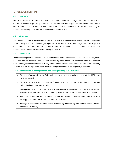# <span id="page-9-0"></span>**4 Oil & Gas Sectors**

## <span id="page-9-1"></span>**4.1 Upstream**

Upstream activities are concerned with searching for potential underground crude oil and natural gas fields, drilling exploratory wells, and subsequently drilling appraisal and development wells, constructing surface facilities to aid the lifting of the hydrocarbon to the surface and processing the hydrocarbon to separate gas, oil and associated water, if any.

## <span id="page-9-2"></span>**4.2 Midstream**

[Midstream](https://www.investopedia.com/terms/m/midstream.asp) activities are concerned with the raw hydrocarbon resource transportation of the crude and natural gas via oil pipelines, gas pipelines, or tanker truck to the storage facility for export or distribution to the refineries/ or customers. Midstream activities also includes storage of raw hydrocarbons, and liquefaction of natural gas to LNG.

## <span id="page-9-3"></span>**4.3 Downstream**

Downstream operations are concerned with transformation processes of raw hydrocarbons (oil and gas) and convert them to final products for use by consumers and industrial units. Downstream operations typically commence with any supply made after delivery of hydrocarbons to a refinery, and will include storage of finished products of hydrocarbons such as petrol, diesel etc.

## <span id="page-9-4"></span>**4.3.1 Clarification of Transportation and Storage amongst the Activities.**

- a) Storage of crude oil in the field facilities by an operator prior to tie in at the MOL is an upstream activity.
- b) Storage of petroleum products by Operators or Contractors in the field for upstream utilization is an upstream activity.
- c) Transportation of Crude in MOL and Storage of crude at Facilities at PDO Mina Al Fahal Tank Farm or any other tank farm appointed by Government for export are midstream, activity.
- d) Activities relating to transportation of crude from facilities at PDO Mina Al Fahal Tank Farm for supply to refineries in Oman is midstream activity.
- e) Storage of petroleum products petrol or diesel by a Marketing company at its facilities is a downstream activity.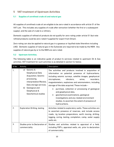# <span id="page-10-0"></span>**5 VAT treatment of Upstream Activities**

## <span id="page-10-1"></span>**5.1 Supplies of unrefined crude oil and natural gas**

All supplies of unrefined crude oil are eligible to be zero-rated in accordance with article 51 of the VAT Law. This includes any supplies of crude after extraction (whether the first or a subsequent supply), and the sale of crude to a refinery.

Domestic supplies of refined oil products do not qualify for zero-rating under article 51 (but note refined products could be zero-rated if supplied for export from Oman).

Zero-rating can also be applied to natural gas in a gaseous or liquified state (therefore including LNG). Domestic supplies of natural gas in the Sultanate are required to be made by the MEM. Any supplies of natural gas by or to the MEM are zero-rated.

## <span id="page-10-2"></span>**5.2 Upstream Activities.**

The following table is an indicative guide of product & services related to upstream Oil & Gas activities. VAT treatment for such activities is as detailed in section 5.2 below.

| SI No | Activity                                                                                                                                                                                              | Description                                                                                                                                                                                                                                                                                                                                                                                                                                                                                                                                                                     |
|-------|-------------------------------------------------------------------------------------------------------------------------------------------------------------------------------------------------------|---------------------------------------------------------------------------------------------------------------------------------------------------------------------------------------------------------------------------------------------------------------------------------------------------------------------------------------------------------------------------------------------------------------------------------------------------------------------------------------------------------------------------------------------------------------------------------|
| 1.    | Seismic &<br>a)<br>Geophysical Data<br>Acquisition, Seismic<br>processing,<br>interpretation/Review,<br>Data storage services.<br>Geological and<br>b)<br>Geophysical &<br><b>Geochemical studies</b> | The activities and products involved in acquisition of<br>information on potential presence of hydrocarbons,<br>including seismic surveys, satellite images, geophysical<br>vibrators,<br>microphones,<br>wires,<br>recorders.<br>magnetometers, explosives and seismometers, including<br>storage of the data acquired. These include -<br>purchase, collection or processing of geological<br>and geophysical data,<br>geochemical examinations, geological<br>investigations and any related environment<br>studies, to ascertain the extent of presence of<br>hydrocarbons. |
| 2.    | <b>Exploration Drilling, testing</b>                                                                                                                                                                  | Activities related to exploratory wells. These activities are<br>to ascertain presence of reserves, and include access<br>roads, rig location preparations, earth moving, drilling,<br>logging, coring, testing, completion, camp, water supply<br>wells etc.                                                                                                                                                                                                                                                                                                                   |
| 3.    | Studies prior to Declaration of<br>commerciality                                                                                                                                                      | Studies and activities related to appraisal of a field,<br>including FDP's, appraisal wells, etc. prior to declaration<br>of commerciality.                                                                                                                                                                                                                                                                                                                                                                                                                                     |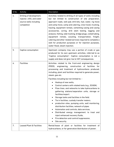| SI No | Activity                                                                                        | <b>Description</b>                                                                                                                                                                                                                                                                                                                                                                                                                                                                                                                                                                                                                                                                                                                                                                                                                                                                                                             |
|-------|-------------------------------------------------------------------------------------------------|--------------------------------------------------------------------------------------------------------------------------------------------------------------------------------------------------------------------------------------------------------------------------------------------------------------------------------------------------------------------------------------------------------------------------------------------------------------------------------------------------------------------------------------------------------------------------------------------------------------------------------------------------------------------------------------------------------------------------------------------------------------------------------------------------------------------------------------------------------------------------------------------------------------------------------|
| 4.    | Drilling of development,<br>injector, infill, and water<br>source wells including<br>completion | Activities related to drilling of all types of wells including<br>but not limited to construction of site preparation,<br>approach roads, well pad, drill bits, fuel, water, rig move<br>and camp move, camp and catering, crew travel, trucking,<br>hauling, equipment rentals, cementing casing and casing<br>accessories, coring, drill stem testing, logging and<br>analysis, fishing, side tracking, bridge plugs, coiled tubing,<br>equipment rentals, scouting, transportation, freight,<br>catering and other related services required to complete a<br>well for production purposes or for injection purposes,<br>water-flood, steam injection.                                                                                                                                                                                                                                                                      |
| 5.    | Captive consumption                                                                             | Upstream company may use a portion of crude or gas<br>produced for its own upstream activities, referred to as<br>"Captive consumption". Captive consumption is not a<br>supply and does not give rise to VAT consequences.                                                                                                                                                                                                                                                                                                                                                                                                                                                                                                                                                                                                                                                                                                    |
| 6.    | <b>Facilities</b>                                                                               | Activities related to the front-end engineering design<br>(FEED), engineering, construction of facilities for<br>processing and treatment of hydrocarbons produced,<br>including, plant and facilities required to generate power,<br>steam, gas etc.<br>Facilities including but not limited to: -<br>Hookup of new wells,<br>$\bullet$<br>Control centers with related tools (e.g., SCADA),<br>٠<br>Flow lines, and networks to take hydrocarbons to<br>٠<br>gathering stations/separation units, storage or<br>facilities/export.<br>Storage tanks and facilities in the field.<br>Tie in facilities, custody transfer meters.<br>production sites, pumping units, well monitoring,<br>distribution facilities, network of pipes<br>Automation and controls, data services,<br>Distributed energy management. to treat and<br>inject enhanced recovery fluids,<br>Fire detection and control/suppression,<br>Site security. |
| 7.    | <b>Leased Plant &amp; Facilities</b>                                                            | Rental/lease of plant or facilities for treatment of<br>hydrocarbons, or for generation/distribution of power.                                                                                                                                                                                                                                                                                                                                                                                                                                                                                                                                                                                                                                                                                                                                                                                                                 |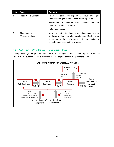| SI No | Activity                          | Description                                                                                                                                                                                                           |
|-------|-----------------------------------|-----------------------------------------------------------------------------------------------------------------------------------------------------------------------------------------------------------------------|
| 8.    | <b>Production &amp; Operating</b> | Activities related to the separation of crude into liquid<br>hydrocarbons, gas, water and any other impurities.<br>Management of flowlines, with corrosion inhibitors,<br>chemicals, pigging activities etc.          |
|       |                                   | Field maintenance.                                                                                                                                                                                                    |
| 9.    | Abandonment<br>/Decommissioning   | Activities related to plugging and abandoning of non-<br>producing well or removal of structures and facilities and<br>restoration of the site/property to the satisfaction of<br>regulatory agencies and the owners. |

## <span id="page-12-0"></span>**5.3 Application of VAT to the upstream activities in Oman.**

A simplified diagram representing the flow of VAT through the supply chain for upstream activities is below. The subsequent table describes the VAT applied at each stage in more detail.

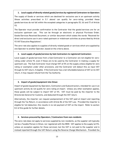## **1. Local supply of directly related goods/services by registered Contractors to Operators**

The supply of Goods or services which are destined for exclusive use in an upstream activity (those activities prescribed in 5.1 above) can qualify for zero-rating, provided these goods/services do not fall within the excepted categories in paragraphs (5), (6) and (7) of Article 93.

The Operator must provide confirmation to the Contractor that the goods/services are for an exclusive upstream use. This can be through an electronic or physical Purchase Order, Goods/Services Received Document, or similar document which states the words "Received for direct and exclusive use in zero-rated upstream or midstream activities as prescribed by Article 93 VAT Executive Regulations".

The zero-rate also applies to supplies of directly related goods or services which are supplied by one Operator to another Operator, based on the criteria above.

## **2. Local supply of goods/services by Sub-Contractors to registered Contractors**

Local supply of goods/services from a Sub-Contractor to a Contractor are not eligible for zerorating under article 93, even if these are to be used by the Contractor in making a supply for upstream use. The Sub-Contractor must charge VAT at 5% on the supply unless eligible for zero rating or exemption under other provisions, and the Contractor will deduct this as input VAT through its VAT return, if eligible. If the Contractor has a net refundable balance of VAT on its VAT return, it may request refund from the Tax Authority.

## **3. Import of goods/equipment into Oman**

Import of goods/equipment by Operators, Contractors and Subcontractors, intended for use in an upstream activity do not qualify for zero-rating at import. Unless any other exemption applies, these goods will be subject to import VAT at 5%. VAT must be paid by the importer to the Directorate General for Customs, and deducted through the VAT return.

Alternatively, the importer can request postponement of the VAT paid at import and reporting through the Tax Return, in accordance with Article 86 of the VAT Law. Provided the importer is eligible for full deduction, this results in no net payment of VAT on the import. Refer to section 8.2 of this guide for further details.

## **4. Services procured by Operators / Contractors from non-residents**

The zero-rate does not apply to services supplied by non-residents, as the supplier will typically not be a Taxable Person in Oman, nor registered with the MEM. VAT applies to the supply (at 5%, unless an exception applies for those services), but the VAT is not paid to the supplier and is instead reported through the VAT Return using the Reverse Charge Mechanism. Provided the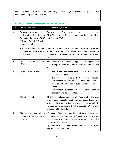recipient is eligible for full deduction, accounting for VAT through the Reverse Charge Mechanism results in no net payment of VAT due.

## <span id="page-14-0"></span>**5.4 VAT treatment on transactions related to Government.**

| Sr# | Activity/Cost Item                                                                                                                                  | VAT Applicability/Route                                                                                                                                                                                                                                                                                                                  |
|-----|-----------------------------------------------------------------------------------------------------------------------------------------------------|------------------------------------------------------------------------------------------------------------------------------------------------------------------------------------------------------------------------------------------------------------------------------------------------------------------------------------------|
| 1.  | Government payments such<br>as Royalties, Signature or<br>Production bonuses / OGDR<br>/ Annual Rental / Training<br>bonus (not training levy) etc. | Represents<br>Government<br>revenues,<br>as<br>per<br>EPSA/Agreements. These are sovereign incomes and are<br>not subject to VAT.                                                                                                                                                                                                        |
| 2.  | Training levy by Government<br>on invoices/ payments to<br>contractors                                                                              | Collected on behalf of Government performing sovereign<br>Not part of Contractor's economic activity or<br>activity.<br>consideration to the contractor for its supplies. Not subject<br>to VAT.                                                                                                                                         |
| 3.  | GAS<br>Transportation<br>Tariff<br>(RAB)                                                                                                            | Since Government is the sole shipper, for transportation of<br>Gas through OQGN or any other network, VAT will be Zero-<br>Rated.                                                                                                                                                                                                        |
| 4.  | Crude Oil/Gas Revenue                                                                                                                               | The Revenue generated from export of Hydrocarbons<br>٠<br>will be Zero Rated.<br>The Revenue received by the Government (including<br>Government sale of Non Associated Gas) generated<br>from sale of Gas within or outside Oman will be Zero<br>Rated.<br>Government purchase of Gas from<br>upstream<br>operators will be Zero Rated. |
| 5.  | <b>EPSA Overhead</b>                                                                                                                                | EPSA Overheads are applied to total Recoverable Cost on an<br>annual basis, typically based on agreed percentages/rates<br>with the Government. Such charges will not normally be<br>invoiced to the Government by the Operator. VAT for such<br>charges will be Zero Rated.                                                             |
| 6.  | Disposal<br>of<br>Material<br>or<br>inventory other than to an<br>operator.                                                                         | Disposals of inventory materials, and scrap of any surplus<br>materials etc. through sale by Operators, where the sale<br>takes place within Oman to a third party not related to<br>Upstream/Midstream.                                                                                                                                 |
|     |                                                                                                                                                     | Operator must charge the buyer VAT at Standard Rate, and<br>remit VAT collected to TA.                                                                                                                                                                                                                                                   |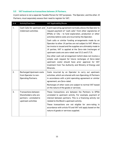## <span id="page-15-0"></span>**5.5 VAT treatment on transactions between JV Partners.**

A joint venture is not a separate Taxable Person for VAT purposes. The Operator, and the other JV Partners, must separately assess their need to register for VAT.

| Sr# | Activity/Cost Item                                                                                    | VAT Applicability/Route                                                                                                                                                                                                                                                                                                                                                                                                                                                                                                                                                                                                                                                                                                                                                                                         |
|-----|-------------------------------------------------------------------------------------------------------|-----------------------------------------------------------------------------------------------------------------------------------------------------------------------------------------------------------------------------------------------------------------------------------------------------------------------------------------------------------------------------------------------------------------------------------------------------------------------------------------------------------------------------------------------------------------------------------------------------------------------------------------------------------------------------------------------------------------------------------------------------------------------------------------------------------------|
| 1.  | Cash Calls for upstream and<br>midstream activities                                                   | A joint operating agreement normally allows the Operator to<br>request payment of "cash calls" from other signatories of<br>EPSAs or CAs - to fund exploration, production or other<br>activities before costs are incurred by the Operator.<br>Cash calls or similar funding arrangements made by an<br>Operator to other JV parties are not subject to VAT. When a<br>tax invoice is issued and the supplies are ultimately made to<br>JV parties, VAT is applied at the Zero-rate (recharges of<br>upstream costs are zero-rated: see 5.5.2 and 5.7.3).<br>Any other cash call arrangement (which does not involve a<br>simple cash request for future recharges of Zero-rated<br>upstream costs) should have prior approval for VAT<br>treatment from Tax Authority and Ministry of Energy and<br>Minerals. |
| 2.  | <b>Recharged Upstream costs</b><br>from Operator to non-<br><b>Operating Partners.</b>                | Costs incurred by an Operator to carry out upstream<br>activities, which are shared with non-Operating JV Partners<br>in accordance with a joint operating agreement or similar<br>agreement, are Zero-rated.<br>Recharges of other costs are subject to normal VAT based<br>on the nature of the goods or services.                                                                                                                                                                                                                                                                                                                                                                                                                                                                                            |
| 3.  | <b>Transactions between</b><br>Shareholders who are<br>partners - unrelated to<br>upstream activities | These transactions are between the Partners to EPSA<br>unrelated to upstream activity. For example, payment of<br>interest between partners. This is a financing activity not<br>related to the Block's upstream activity.<br>These transactions are not eligible for zero-rating in<br>accordance with article 93 and VAT will apply based on the<br>nature of goods or services supplied.                                                                                                                                                                                                                                                                                                                                                                                                                     |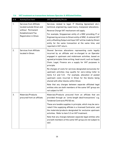| Sr# | Activity/Cost Item                                                                                                            | VAT Applicability/Route                                                                                                                                                                                                                                                                                                                                                                                                                                                                                                                                                                                                                                                                                                                               |
|-----|-------------------------------------------------------------------------------------------------------------------------------|-------------------------------------------------------------------------------------------------------------------------------------------------------------------------------------------------------------------------------------------------------------------------------------------------------------------------------------------------------------------------------------------------------------------------------------------------------------------------------------------------------------------------------------------------------------------------------------------------------------------------------------------------------------------------------------------------------------------------------------------------------|
| 1.  | <b>Services from Affiliate</b><br>located outside Oman and<br>without Permanent<br>Establishment/Tax<br>Registration in Oman. | Services related to legal, IT (Hosting Agreement etc.),<br>technical, engineering, supervisory, manpower allocations.<br>Reverse Charge VAT mechanism will apply.<br>For example, Singaporean entity of a MNC providing IT or<br>Engineering services to Omani entity of MNC. A notional VAT<br>entry offsetting Output and Input VAT will be made by Omani<br>entity for the same transaction at the same time, and<br>reported in VAT return.                                                                                                                                                                                                                                                                                                       |
| 2.  | <b>Services from Affiliate</b><br>located in Oman.                                                                            | Shared Services allocations representing costs legally<br>incurred by an affiliate and re-charged to an Operator<br>engaged in upstream and midstream activities, based on<br>agreed principles (time writing, head count), such as Supply<br>Chain, Legal, Finance are a supply for VAT purposes in<br>principle.<br>Re-charges of costs for services designated exclusively for<br>upstream activities may qualify for zero-rating (refer to<br>items 5.2 and 5.3). For example, allocation of pooled<br>upstream costs incurred in Oman for the blocks being<br>shared with other blocks within Oman.<br>Note that any charges between separate affiliated legal<br>entities who are both members of the same VAT group are<br>not subject to VAT. |
| 3.  | Materials/Products<br>procured from an affiliate.                                                                             | Materials/Products procured from an affiliate that are<br>provided through an "arms-length deal/transactions" e.g.<br>Tendered Contracts/PO/SO etc.<br>These are taxable supplies in principle, which may be zero-<br>rated if the supplying affiliate is a licensed Contractor, and<br>the materials/products designated for exclusive upstream<br>activities. Refer to item 5.3 on VAT treatment.<br>Note that any charges between separate legal entities who<br>are both members of the same VAT group are not subject to<br>VAT.                                                                                                                                                                                                                 |

## <span id="page-16-0"></span>**5.6 VAT treatment on transactions between Operator & Affiliated Entities.**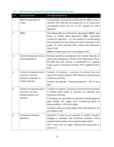| Sr# | Activity/Cost Item                                                                                  | VAT Applicability/Route                                                                                                                                                                                                                                                                                                                                                                             |
|-----|-----------------------------------------------------------------------------------------------------|-----------------------------------------------------------------------------------------------------------------------------------------------------------------------------------------------------------------------------------------------------------------------------------------------------------------------------------------------------------------------------------------------------|
| 1.  | MOL/Transportation of<br>Crude.                                                                     | Transportation of Crude Oil via Main Oil line (MOL) is Zero-<br>rated for VAT. PDO will not include VAT on its invoice and<br>consequently there will be no VAT payable by other<br>Operators.                                                                                                                                                                                                      |
| 2.  | <b>OBRD</b>                                                                                         | Oman Blend Revenue Distribution Agreement (OBRD), also<br>known as Quality Bank Adjustment (QBA), represents<br>receipts by Operators, for the purpose of compensating<br>other operators for the revenue lost due to reduction in the<br>quality of crude exported, after mixing with Mukhaizna<br>heavy crude.<br>OBRD is compensatory and is not subject to VAT.                                 |
| 3.  | Service Charges per Service<br>Level Agreements                                                     | Revenue earned by one Operator from another Operator at<br>agreed percentages per Service Level Agreements (SLA).<br>Provided that such revenue is consideration for supplies<br>made as part of upstream activities, VAT is applied at Zero<br>Rate.                                                                                                                                               |
| 4.  | Transfer of materials and or<br>inventory / services<br>between an operator to<br>another operator. | Transfer of inventory / provision of services from one<br>operator to another operator within Oman for upstream and<br>midstream activities.<br>Transferring Operator / Receiving Operator - VAT at Zero<br>Rate.                                                                                                                                                                                   |
| 5.  | Transfer of materials and or<br>inventory / services<br>between blocks of an<br>operator.           | Transfer of inventory / provision of services from one block<br>to another block within an operator, for upstream and<br>midstream activities.<br>If the blocks are operated by an Operator through separate<br>legal entities, the supply from Transferring Block to<br>Receiving Block - VAT at Zero Rate.<br>Transfers within one single legal entity of the Operator are<br>not subject to VAT. |
| 6.  | <b>Transactions between</b><br>Operators.                                                           | Allocation of costs by one operator to another operator<br>engaged in upstream and midstream activities, where<br>recipient and transferor have separate legal entities.<br>VAT at Zero rate will apply, following the description in<br>section 5.3.                                                                                                                                               |

# <span id="page-17-0"></span>**5.7 VAT treatment on transactions between Upstream Operators.**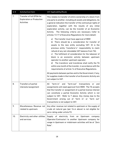| Sr# | Activity/Cost Item                                                                 | VAT Applicability/Route                                                                                                                                                                                                                                                                                                                                                                                                                                                                                                                                                                                                                                                         |
|-----|------------------------------------------------------------------------------------|---------------------------------------------------------------------------------------------------------------------------------------------------------------------------------------------------------------------------------------------------------------------------------------------------------------------------------------------------------------------------------------------------------------------------------------------------------------------------------------------------------------------------------------------------------------------------------------------------------------------------------------------------------------------------------|
| 7.  | Transfer of full EPSA for<br><b>Exploration or Production</b><br><b>Activities</b> | This relates to transfer of entire ownership of a block from<br>one party to another, including all assets and obligations. As<br>a general indication the transfer of the contractual rights of<br>exploration, together with the results of any initial<br>exploration activity, can be the transfer of an Economic<br>Activity. The following criteria are necessary (refer to<br>articles 13-17 of Executive Regulations for more detail):                                                                                                                                                                                                                                  |
|     |                                                                                    | The transfer must have approval of MEM<br>a)<br>There should be a consideration for transfer of<br>b)<br>assets to the new entity excluding VAT. [It is the<br>previous entity "transferor's" responsibility to claim<br>refund of any net refundable VAT balance from TA].<br>c) The fulfilment of consideration for the takeover of<br>block is an economic activity between upstream<br>operator to another upstream operator;<br>The transferor and transferee shall notify the TA<br>d)<br>within one month of the transfer, in accordance with the<br>requirements of article 14 of Executive Regulations.<br>All payments between parties and to the Government, if any, |
|     |                                                                                    | for supplies made in the transfer of an Economic Activity are<br>not subject to VAT.                                                                                                                                                                                                                                                                                                                                                                                                                                                                                                                                                                                            |
| 8.  | <b>Transfers of partial</b><br>interests/assignment                                | "farm-in" and "farm-out" transactions<br>All<br>or<br>and<br>assignments will need approval from MEM. The TA accepts<br>that the transfer or assignment of a partial license interest<br>can constitute a partial Economic Activity which is not<br>subject to VAT. Refer to 7 above. Any money due to the<br>Government arising out of "farm in" or "farm out"<br>transactions is not subject to VAT.                                                                                                                                                                                                                                                                          |
| 9.  | Miscellaneous Revenue not<br>related to upstream.                                  | Any other revenue not related to upstream or the supply of<br>crude oil natural gas (per 5.4.4 above) is not eligible for<br>zero-rating under article 93.                                                                                                                                                                                                                                                                                                                                                                                                                                                                                                                      |
| 10. | Electricity and other utilities<br>and services                                    | Supply of electricity from an<br>Upstream<br>company<br>(Operator/Contractor) to another Upstream company for<br>usage in Upstream or midstream activities will be at "Zero<br>Rate".                                                                                                                                                                                                                                                                                                                                                                                                                                                                                           |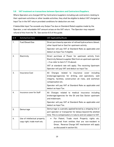## <span id="page-19-0"></span>**5.8 VAT treatment on transactions between Operators and Contractors/Suppliers.**

Where Operators are charged VAT by Contractors/suppliers including sub-contractors relating to their upstream activities or other taxable activities, they shall be eligible to deduct VAT charged as Input Tax in the VAT return provided conditions for deduction are met.

If deductible Input Tax exceeds any Output Tax due on Standard Rated supplies made by the Operator, a net refundable VAT amount arises on the VAT return. The Operator may request refund of this from the TA. See section 8.5 of this guide.

| Sr# | Activity/Cost Item                                           | VAT Applicability/Route                                                                                                                                                                                                                                                                |
|-----|--------------------------------------------------------------|----------------------------------------------------------------------------------------------------------------------------------------------------------------------------------------------------------------------------------------------------------------------------------------|
| 1.  | Fuel/Diesel/Gas                                              | Direct purchase by operator of refined hydrocarbons (diesel,<br>other liquid fuel or Gas) for upstream activity.<br>Operator will pay VAT at Standard Rate as applicable and<br>deduct as Input Tax if eligible.                                                                       |
| 2.  | Electricity                                                  | Direct purchase of Power for upstream activity from<br>Electricity Network supplier [Not from an upstream operator<br>- if so refer to item 5.7.10 above].<br>VAT at standard rate will apply. The receiving Upstream<br>Operator will pay VAT and deduct as Input Tax.                |
| 3.  | <b>Insurance Cost</b>                                        | Charges related to insurance cover<br>All<br>including<br>brokerage/agencies for drilling, and operations, well<br>integrity, facilities, construction all risks, and workman<br>compensation etc.<br>Operator will pay VAT at Standard Rate as applicable and<br>deduct as Input Tax. |
| 4.  | Insurance cover for Staff                                    | All Charges related to medical insurance including<br>brokerage/agencies for the Oil and Gas Sector upstream<br>and midstream.<br>Operator will pay VAT at Standard Rate as applicable and<br>deduct as Input Tax.                                                                     |
| 5.  | Demurrage                                                    | Demurrage is a penalty applied/levied by a shipping line or<br>port operator or transporter for delays beyond the allotted<br>time. This is compensatory in nature and not subject to VAT.                                                                                             |
| 6.  | Use of intellectual property,<br>copy right, trade mark etc. | For Patent, Trade mark Property rights etc.<br>$\bullet$<br>procured from entities that are non-resident in<br>Oman, Reverse Charge VAT mechanism will apply<br>as discussed in section 8.6.                                                                                           |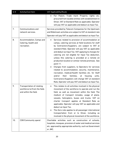| Sr# | Activity/Cost Item                                                                         | VAT Applicability/Route                                                                                                                                                                                                                                                                                                                                                                                                                                                                                                                                                                                                                                                                                                                                                                            |
|-----|--------------------------------------------------------------------------------------------|----------------------------------------------------------------------------------------------------------------------------------------------------------------------------------------------------------------------------------------------------------------------------------------------------------------------------------------------------------------------------------------------------------------------------------------------------------------------------------------------------------------------------------------------------------------------------------------------------------------------------------------------------------------------------------------------------------------------------------------------------------------------------------------------------|
|     |                                                                                            | For Patent, Trade mark Property rights<br>etc.<br>procured from taxable entities with establishment in<br>Oman, VAT at Standard Rate as applicable. Operator<br>will pay VAT as applicable and deduct as Input Tax.                                                                                                                                                                                                                                                                                                                                                                                                                                                                                                                                                                                |
| 7.  | <b>Communications and</b><br>network services.                                             | Services provided by Telecom Companies for the Upstream<br>and Midstream activities are subject to VAT at standard rate<br>Operator will pay VAT as applicable and deduct as Input Tax.                                                                                                                                                                                                                                                                                                                                                                                                                                                                                                                                                                                                            |
| 8.  | Accommodation, Camps and<br>Catering, health and<br>recreation.                            | Services related to provision of accommodation at<br>camps, catering services at field locations for staff<br>by Contractors/Suppliers, are subject to VAT at<br>standard Rate. Operator will pay VAT as applicable<br>and deduct as Input Tax. VAT applying to charges for<br>catering are not eligible for Input Tax deduction,<br>unless this catering is provided at a remote oil<br>production location or similar remote premises. See<br>point 11.<br>Charges from suppliers, to Operators for services<br>related to accommodation, security, maintenance,<br>recreation, medical/health facilities etc. for Staff<br>and/or<br>their<br>families.<br>units.<br>housing<br>at<br>Contractors/Suppliers will charge VAT at standard<br>Rate, Operator will pay VAT and deduct as Input Tax. |
| 9.  | <b>Transportation of rotating</b><br>workforce to/from the field,<br>and within the field. | This relates to all activities involved in the physical<br>movement of the workforce to operate and run the<br>field, as well as movement within the field. The<br>medium of transport includes, usage of plane,<br>vessels, helicopters, buses and trucks. VAT on<br>charter transport applies at Standard Rate as<br>applicable. Operator will pay VAT as applicable and<br>deduct as Input Tax.<br>The Zero-rate applies to all passenger international<br>transportation from or to Oman, including as<br>involved in the physical movement of the workforce.                                                                                                                                                                                                                                  |
| 10. | <b>CSR/Community spend</b>                                                                 | Charitable activities such as construction of schools,<br>hospitals, mosques, provision of water and medical services<br>etc. approved by appropriate authority, such as Government<br>or JMC.                                                                                                                                                                                                                                                                                                                                                                                                                                                                                                                                                                                                     |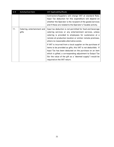| Sr# | Activity/Cost Item                   | VAT Applicability/Route                                                                                                                                                                                                                                                                                                                         |
|-----|--------------------------------------|-------------------------------------------------------------------------------------------------------------------------------------------------------------------------------------------------------------------------------------------------------------------------------------------------------------------------------------------------|
|     |                                      | Contractors/Suppliers will charge VAT at standard Rate.<br>Input Tax deduction for this expenditure will depend on<br>whether the Operator is the recipient of the goods/services<br>and if these are related to the Operator's Taxable activity.                                                                                               |
| 11. | Catering, entertainment and<br>gifts | Input tax deduction is not permitted for food and beverage<br>catering services or any entertainment services, unless<br>catering is provided to employees for sustenance at a<br>remote oil production location or similar remote premises,<br>where no reasonable alternative exists.                                                         |
|     |                                      | If VAT is incurred from a local supplier on the purchase of<br>items to be provided as gifts, this VAT is not deductible. If<br>Input Tax has been deducted on the purchase on an item<br>which is gifted, a corresponding adjustment to Output Tax<br>(for the value of the gift as a "deemed supply") would be<br>required on the VAT return. |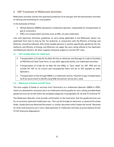# <span id="page-22-0"></span>**6 VAT Treatment of Midstream Activities**

Midstream activities connect the upstream production of oil and gas with the downstream activities of refining and marketing for consumption.

In the Sultanate of Oman:

- OQ Gas Network (OQGN) represents a midstream operator, responsible for transportation of gas to consumers.
- PDO's oil transportation activities such as MOL are also midstream.

Like with Upstream Activities, guidelines on zero-rating applicable to the Midstream Sector are published from time to time by the Tax Authority, in conjunction with the Ministry of Energy and Minerals, should be followed. Only those taxable persons or parties specifically agreed by the Tax Authority and Ministry of Energy and Minerals can apply the zero-rating offered to the Upstream and Midstream Sectors. All other supplies should be subject to normal VAT rules.

## <span id="page-22-1"></span>**6.1 VAT considerations for midstream**

- Transportation of Crude Oil Via Main Oil line to refineries and Storage of crude at Facilities at PDO Mina Al Fahal Tank Farm, or any other approved facility, are midstream activities.
- Transportation of Crude Oil via Main Oil line (MOL) is "Zero rated" for VAT, PDO will not include 0% VAT on its invoice and consequently there will be no VAT payable by other Operators.
- Transportation of Gas through OQGN is a midstream activity. Payment of gas transportation tariff by Government to OQ GN using RAB mechanism will be Zero rated.

## <span id="page-22-2"></span>**6.2 Midstream activities and VAT flows**

The local supply of Goods or services from Contractors to a midstream Operator (OQGN or PDO), which are destined for exclusive use in an midstream activity qualify for zero-rating, provided these goods/services do not fall within the excepted categories in paragraphs (5), (6) and (7) of Article 93.

The Midstream Operator must provide confirmation to the Contractor that the goods/services are for an exclusive upstream/midstream use. This can be through an electronic or physical Purchase Order, Goods/Services Received Document, or similar document which states the words "Received for direct and exclusive use in zero-rated upstream or midstream activities as prescribed by Article 93 VAT Executive Regulations".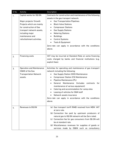| SI <sub>No</sub> | Activity                                                                                                                                                                                                   | Description                                                                                                                                                                                                                                                                                                                                                                                                                                                                                                               |
|------------------|------------------------------------------------------------------------------------------------------------------------------------------------------------------------------------------------------------|---------------------------------------------------------------------------------------------------------------------------------------------------------------------------------------------------------------------------------------------------------------------------------------------------------------------------------------------------------------------------------------------------------------------------------------------------------------------------------------------------------------------------|
| 1.               | Capital works for OQ GN.<br>Major projects/ Growth<br>Projects which are mainly<br>for construction of Gas<br>transport network assets,<br>including major<br>maintenance and<br>refurbishment activities. | Contracts for construction and maintenance of the following<br>assets in the gas transport network.<br><b>Gas Transportation Pipelines</b><br><b>Block Valve Stations</b><br>$\bullet$<br><b>Compressor Stations</b><br>٠<br><b>Gas Supply Stations</b><br>٠<br><b>Metering Stations</b><br>$\bullet$<br><b>Buildings</b><br>$\bullet$<br><b>Control Systems</b><br>٠<br>Tools & Equipment<br>Zero-rate can apply in accordance with the conditions<br>above.                                                             |
| 2.               | <b>Financing costs</b>                                                                                                                                                                                     | VAT may be incurred at Standard Rate on some financing<br>costs charged by banks and financial institutions (e.g.<br>explicit fees).                                                                                                                                                                                                                                                                                                                                                                                      |
| 3.               | <b>Operation and Maintenance</b><br>(O&M) of the Gas<br><b>Transportation Network</b><br>assets.                                                                                                           | Activities for operating and maintenance of gas transport<br>network including the following:<br><b>Gas Supply Station (GSS) Maintenance</b><br>$\bullet$<br><b>Compressor Station (CS) Maintenance</b><br>٠<br>Pipeline Maintenance (PL)<br>٠<br>General Maintenance (Includes<br>contracts<br>for<br>maintenance of various equipment)<br>Catering and accommodation for camp sites<br>Leasing of vehicles for O&M staff<br>Network assets insurance<br>Zero-rate can apply in accordance with the conditions<br>above. |
| 4.               | <b>Revenues to OQ GN</b>                                                                                                                                                                                   | (a) Gas transport tariff (RAB) received from MEM. VAT<br>at zero rate.<br>(b) Connection fee paid by upstream producers of<br>natural gas to OQ GN network will be Zero rated.<br>(c) Connection fee for gas consumers from OQ GN will<br>be at standard rate.<br>(d) Miscellaneous revenues for supplies of goods or<br>services made by OQGN such as consultancy                                                                                                                                                        |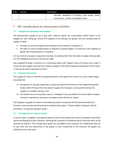#### Description

services, disposal of inventory and assets, lease revenue etc., will be at standard rates.

# <span id="page-24-0"></span>**7 VAT considerations for downstream activities**

## <span id="page-24-1"></span>**7.1 Supplies for domestic consumption**

The downstream supply of oil or gas after refinery and/or for consumption within Oman is not eligible for zero rating per article 93. Supplies of oil and gas are goods, and the standard date of supply is either:

- the date on which the goods were placed at the customer's disposal; or
- the date on which transportation or dispatch of goods began in connection with supplies of goods with transportation or dispatch.

If a tax invoice is issued, or payment received, at a date earlier than the date of supply, the due date for VAT obligations arises on that earlier date.

Gas supplied through a network on a continuous basis with regular issue of invoices (e.g. under a consumer gas supply contract) has a date of supply on the date of payment specified in the invoice, or the actual date of payment if earlier.

## <span id="page-24-2"></span>**7.2 Exports from Oman**

The supply of crude or refined oil and gas products with export from Oman is a zero-rated supply, provided that:

- a) the goods are actually exported to a place outside the territories of the Implementing GCC States within 90 days from the date of supply (the transport can be performed by the supplier or another person); and
- b) The Goods are not consumed, used, or changed in any way before the actual date of export, except for operations necessary to prepare those Goods for export.

The Supplier of goods for Export must keep documents issued by the Directorate General for Customs, and commercial documents to evidence the export. Further detail on Exports will be provided in a separate taxpayer guide.

## <span id="page-24-3"></span>**7.3 Consignment or reserve stocks**

In some cases, a supplier may agree to place a stock of oil product at a known customer's premises and at the disposal of that customer, allowing the customer to withdraw the oil from the stock at the moment he needs it. The consignment goods are available to the customer for withdrawal and use at any time, but the ownership of the goods is only transferred at the moment the goods are withdrawn from the stock.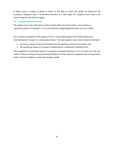In these cases, a supply of goods is made on the date on which the goods are placed at the customer's disposal, even if ownership transfers at a later date. The supplier must issue a tax invoice based on the date of supply.

## <span id="page-25-0"></span>**7.4 Aviation and marine fuels**

The supply of any fuel, lubricants or other goods which are to be used or consumed by a "qualifying means of transport" on an international voyage departing Oman are zero-rated.

Zero-rating only applies to the supply of fuel or consumable goods which takes place at an international port, airport or comparable facility. The fuel supplier must retain evidence that both:

- the fuel or goods is physically placed onto the qualifying means of transport; and
- the qualifying means of transport is departing for a destination outside Oman.

Fuel supplied to a qualifying means of transport not departing Oman, or to any other aircraft, sea craft or means of transport must be Standard Rated. Further detail on supplies to the transportation sector will be provided in a separate taxpayer guide.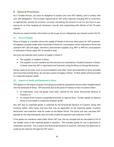# <span id="page-26-0"></span>**8 General Provisions**

As a Taxable Person, you have an obligation to assess your own VAT liability, and to comply with your VAT obligations. This includes registering for VAT when required, charging VAT to customers as appropriate, issuing tax invoices, correctly calculating the amount of net tax you have to pay, paying tax on time, keeping all necessary records, and cooperating with officers of the TA upon request.

Should you require further information on the scope of your obligations, you should contact the TA.

## <span id="page-26-1"></span>**8.1 Place of Supply**

Place of Supply is a location where the supply of Goods or services takes place for VAT purposes. All supplies of goods made within Sultanate of Oman for consumption within Sultanate of Oman the standard VAT rate will apply. Therefore, downstream supplies, (e.g. M91 or M95 for consumption) in Sultanate of Oman apply VAT at standard rates.

Services will typically have a place of supply in Oman if:

- The supplier is resident in Oman;
- The supplier is a non-resident, but the services are received by a Taxable Customer in Oman. In these cases the VAT is reported by the Customer using the Reverse Charge Mechanism.

Certain types of services, such as accommodation and other travel and expenditure items provided and consumed outside Oman, do not have a place of supply in Oman. Further detail will be provided in a separate taxpayer guide.

## <span id="page-26-2"></span>**8.2 Imports of Goods and Equipment to Oman**

VAT applies on the import of goods (including any products, equipment and any other tangible items) into the Sultanate of Oman. VAT becomes due at the point of release to free circulation either:

- at importation, once the goods have been cleared by the Oman Directorate General of Customs; or
- on release from customs suspended premises or Special Zone. Further details on Special Zones are provided in a separate taxpayer guide.

Any VAT due on imported goods is collected by the Directorate General of Customs along with Customs duties, other taxes and fees that may be applicable on the imported goods. Customs declaration and collection shall be made via the Bayan Portal. The portal will also calculate VAT payable on the imported goods, plus normally enable the payment and collection of VAT.

If the goods are standard-rated under Oman VAT Law, the tax charged will be calculated at 5% of the taxable value of the imported goods in question. This includes goods for use in upstream or midstream activities. Tax is paid to the Directorate General of Customs, and Input Tax deduction is made by the importer through the VAT return.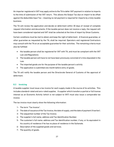An importer registered in VAT may apply online to the TA to defer VAT payment in relation to imports to the time of submission of the VAT return. This allows the Output Tax due on import to be offset against the deductible Input Tax – meaning no net payment is required for imports by a fully taxable business.

The TA will review the application and decide on deferment within 30 days of receipt of complete request information and documents. If the taxable person does not receive a reply, the request will have been considered rejected and VAT shall be collected at the time of import by Oman Customs.

Certain conditions must be met to obtain and keep the right of deferment. A financial guarantee, or other guarantee as requested by the TA, shall be required. Operators and registered Contractors may consult with the TA on an acceptable guarantee for their activities. The remaining criteria must also be fulfilled:

- the taxable person shall be registered for VAT with TA, and must be compliant with the VAT Law and Regulations
- The taxable person will have to not have been previously convicted of crime stipulated in the Law.
- The imported goods are for the purpose of the taxable person's activity
- The application is submitted one month before entry of goods.

The TA will notify the taxable person and the Directorate General of Customs of the approval of deferment.

## <span id="page-27-0"></span>**8.3 Invoicing**

A taxable supplier must issue a tax invoice for each supply made in the course of its activities. This includes standard-rated and zero-rated supplies. A supplier which transfers a partial or full license interest as an Economic Activity (which is not subject to VAT) must also issue a comparable tax invoice.

The tax invoice must clearly show the following information:

- 1- The term "Tax Invoice".
- 2- The date of issuance of the Tax Invoice, the date of supply, and the date of payment (if earlier).
- 3- The sequential number of the Tax Invoice.
- 4- The supplier's full name, address and Tax Identification Number.
- 5- The customer's full name, address and Tax identification number, if any, or its equivalent in his country of residence if he has no place of residence in the Sultanate.
- 6- Description of the supplied goods and services.
- 7- The quantity of goods.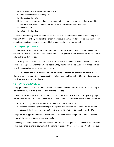- 8- Payment date of advance payment, if any,
- 9- Total consideration excluding Tax.
- 10- The applied Tax rate.
- 11- Any price discounts, or reductions granted to the customer, or any subsidies granted by the State that were not included in the value of the consideration excluding Tax.
- 12- Taxable value.
- 13- Value of the Tax due.

A Taxable Person may issue a simplified tax invoice in the event that the value of the supply is less than OMR500. Further, the Taxable Person may issue a Summary Tax Invoice that includes all supplies of goods and services provided to the same customer within a month.

## <span id="page-28-0"></span>**8.4 Reporting VAT Returns**

Taxable Persons must file a VAT return with the Tax Authority within 30 days from the end of each tax period. The VAT return is considered the taxable person's self-assessment of tax due or refundable for that period.

If a taxable person becomes aware of an error or an incorrect amount in a filed VAT return, or of any other non-compliance with their VAT obligations, they must notify the Tax Authority immediately and take the appropriate action to correct the error.

A Taxable Person can file a revised Tax Return online to correct an error or omission in the Tax Return previously submitted. The revised Tax Return must be filed within (30) thirty days following the discovery of error or omission.

## <span id="page-28-1"></span>**8.5 VAT Payments/Refunds**

The payment of net tax due from the VAT return must be made on the same due date as for filing (no later than the 30 days following the end of the tax period).

If the VAT return results in VAT due to the taxpayer of more than OMR 100, the taxpayer may request refund from the Tax Authority. If a refund is requested, the taxpayer must attach to the VAT return:

- a supporting checklist evidencing a self-review of the VAT return;
- transactional listings reconciling to the figures filed for each field in the VAT return; and
- copies of the highest value Output Tax and Input Tax invoices as specified by the TA.

A copy of the supporting checklist, templates for transactional listings and additional details are listed on the taxpayer portal of the TA website.

Following receipt of a completed request the Tax Authority will, generally, subject to standard and other audit checks, make payment of the refund request within 45 days. The TA will carry out a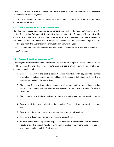process of due diligence of the validity of the return. Please note that in some cases, this may result in an inspection before payment.

Incomplete applications for refund may be rejected, in which case the balance of VAT refundable will be carried forward.

#### <span id="page-29-0"></span>**8.6 Bank guarantee for imports to be re-exported**

ROP Customs requires a Bank Guarantee for temporary entry of goods/equipment imported directly by the Operator into Sultanate of Oman that will not be sold in the Sultanate of Oman but will be exported at a future date. The ROP Customs require the Bank Guarantee/Bond to be equivalent to the value of the tax which would otherwise payable on the permanent import of the goods/equipment. The Guarantee validity must be a minimum of 1 year.

VAT charged on the guarantee fee from the Bank or financial institution is deductible as Input Tax by the Operator.

## <span id="page-29-1"></span>**8.7 Records & Auditing/Inspections by TA**

All taxpayers are required to keep appropriate VAT records relating to their calculation of VAT for audit purposes. This includes any documents used to prepare a VAT return. The information and documents shall include:

- 1) Daily Record in which the taxable transactions are recorded day by day according to their chronological and sequential manner and keep all the documents that enable the control of the accuracy/validity of these activities.
- 2) The Master Record which monitors the opening of accounts and the transactions based on this account, provided that there is a separate account for each type of supplies (taxable or exempted).
- 3) The inventory record, where the inventory items, the budget and the total/result count are recorded.
- 4) Records and documents related to the supplies of imported and exported goods and services.
- 5) Records and documents related to intra supplies of goods and services
- 6) Records and documents related to all customs transactions
- 7) All documents evidencing taxable supplies at zero rate in accordance with the executive regulations. This should include confirmation of exclusive upstream/midstream use for zero-rated supplies made by Contractors.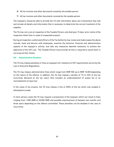- 8) All tax invoices and other documents issued by the taxable person
- 9) All tax invoices and other documents received by the taxable person

The taxpayers should be able to provide the TA with information about any transactions they had and include all details and information that is necessary to determine the correct treatment of the supplies.

The TA may carry out an inspection of the Taxable Person, and shall give 15 days' prior notice of the inspection (other than in cases of suspected evasion).

During an Inspection, authorized officers of the Tax Authority may review and make copies the above records, meet and discuss with employees, examine the technical, financial and administrative aspects of the taxpayer's activity, and take any measures deemed necessary to achieve the objectives of the VAT Law. The Taxable Person must provide all that is required to assist them in carrying out their duties.

## <span id="page-30-0"></span>**8.8 Administrative Penalties**

The TA may impose penalties or fines on taxpayers for violations of VAT requirements set out by the Law or Executive Regulations.

The TA may impose administrative fines which range from OMR 500 up to OMR 10,000 depending on the nature of the offence. In addition, the TA may impose a penalty of 1% to 25% of any tax incorrectly declared on the tax return (this includes an understatement of output tax or an overstatement of input tax).

In the cases of tax evasion, the TA may impose a fine of 300% of the tax which was evaded or attempted to evade.

In more serious cases the TA may request a prosecution of the taxpayer which can result in fines ranging from 1,000 OMR to 20,000 OMR and possible imprisonment of between two months and three years depending on the offence committed. These penalties can be doubled in the case of recurrence.